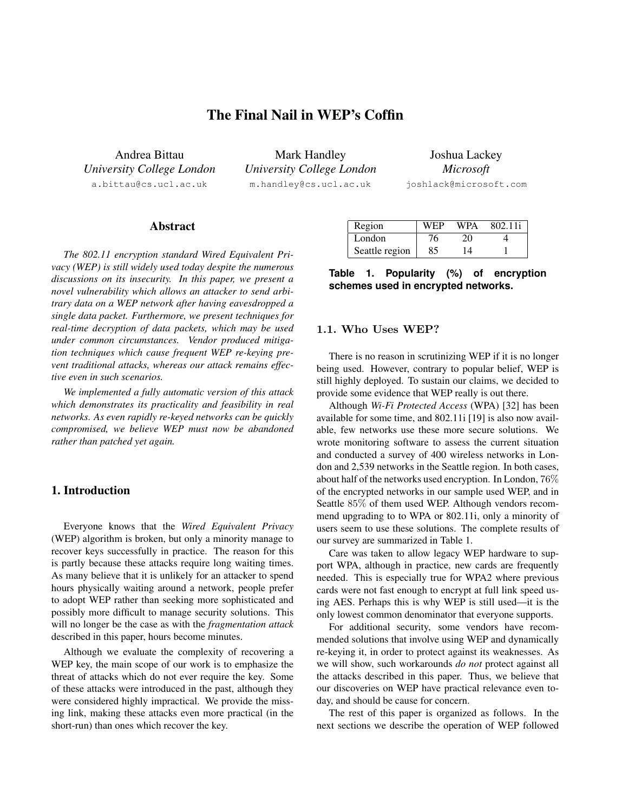# The Final Nail in WEP's Coffin

Andrea Bittau *University College London* a.bittau@cs.ucl.ac.uk

Mark Handley *University College London* m.handley@cs.ucl.ac.uk

Joshua Lackey *Microsoft* joshlack@microsoft.com

## Abstract

*The 802.11 encryption standard Wired Equivalent Privacy (WEP) is still widely used today despite the numerous discussions on its insecurity. In this paper, we present a novel vulnerability which allows an attacker to send arbitrary data on a WEP network after having eavesdropped a single data packet. Furthermore, we present techniques for real-time decryption of data packets, which may be used under common circumstances. Vendor produced mitigation techniques which cause frequent WEP re-keying prevent traditional attacks, whereas our attack remains effective even in such scenarios.*

*We implemented a fully automatic version of this attack which demonstrates its practicality and feasibility in real networks. As even rapidly re-keyed networks can be quickly compromised, we believe WEP must now be abandoned rather than patched yet again.*

# 1. Introduction

Everyone knows that the *Wired Equivalent Privacy* (WEP) algorithm is broken, but only a minority manage to recover keys successfully in practice. The reason for this is partly because these attacks require long waiting times. As many believe that it is unlikely for an attacker to spend hours physically waiting around a network, people prefer to adopt WEP rather than seeking more sophisticated and possibly more difficult to manage security solutions. This will no longer be the case as with the *fragmentation attack* described in this paper, hours become minutes.

Although we evaluate the complexity of recovering a WEP key, the main scope of our work is to emphasize the threat of attacks which do not ever require the key. Some of these attacks were introduced in the past, although they were considered highly impractical. We provide the missing link, making these attacks even more practical (in the short-run) than ones which recover the key.

| Region         | WEP | WPA | 802.11i |
|----------------|-----|-----|---------|
| London         | 76. | 20  |         |
| Seattle region | 85  | 14  |         |

**Table 1. Popularity (%) of encryption schemes used in encrypted networks.**

## 1.1. Who Uses WEP?

There is no reason in scrutinizing WEP if it is no longer being used. However, contrary to popular belief, WEP is still highly deployed. To sustain our claims, we decided to provide some evidence that WEP really is out there.

Although *Wi-Fi Protected Access* (WPA) [32] has been available for some time, and 802.11i [19] is also now available, few networks use these more secure solutions. We wrote monitoring software to assess the current situation and conducted a survey of 400 wireless networks in London and 2,539 networks in the Seattle region. In both cases, about half of the networks used encryption. In London, 76% of the encrypted networks in our sample used WEP, and in Seattle 85% of them used WEP. Although vendors recommend upgrading to to WPA or 802.11i, only a minority of users seem to use these solutions. The complete results of our survey are summarized in Table 1.

Care was taken to allow legacy WEP hardware to support WPA, although in practice, new cards are frequently needed. This is especially true for WPA2 where previous cards were not fast enough to encrypt at full link speed using AES. Perhaps this is why WEP is still used—it is the only lowest common denominator that everyone supports.

For additional security, some vendors have recommended solutions that involve using WEP and dynamically re-keying it, in order to protect against its weaknesses. As we will show, such workarounds *do not* protect against all the attacks described in this paper. Thus, we believe that our discoveries on WEP have practical relevance even today, and should be cause for concern.

The rest of this paper is organized as follows. In the next sections we describe the operation of WEP followed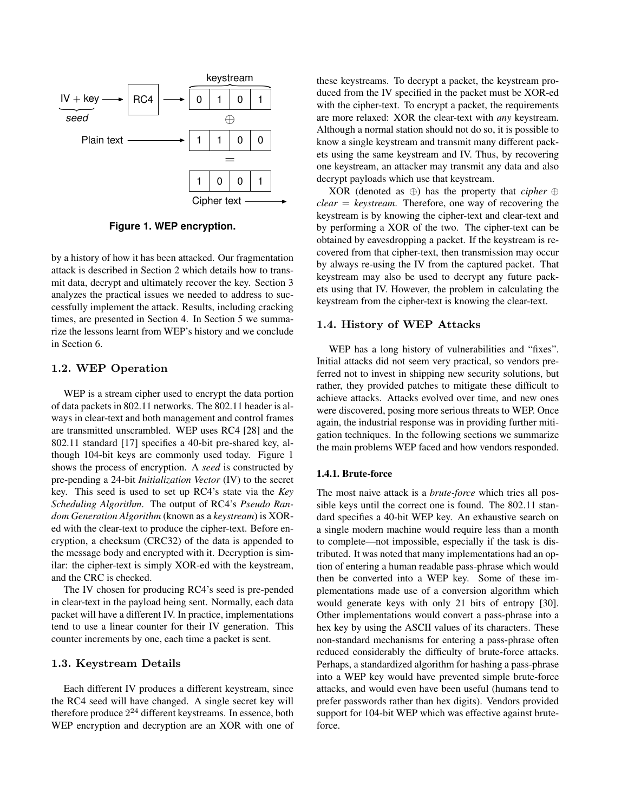

**Figure 1. WEP encryption.**

by a history of how it has been attacked. Our fragmentation attack is described in Section 2 which details how to transmit data, decrypt and ultimately recover the key. Section 3 analyzes the practical issues we needed to address to successfully implement the attack. Results, including cracking times, are presented in Section 4. In Section 5 we summarize the lessons learnt from WEP's history and we conclude in Section 6.

# 1.2. WEP Operation

WEP is a stream cipher used to encrypt the data portion of data packets in 802.11 networks. The 802.11 header is always in clear-text and both management and control frames are transmitted unscrambled. WEP uses RC4 [28] and the 802.11 standard [17] specifies a 40-bit pre-shared key, although 104-bit keys are commonly used today. Figure 1 shows the process of encryption. A *seed* is constructed by pre-pending a 24-bit *Initialization Vector* (IV) to the secret key. This seed is used to set up RC4's state via the *Key Scheduling Algorithm*. The output of RC4's *Pseudo Random Generation Algorithm* (known as a *keystream*) is XORed with the clear-text to produce the cipher-text. Before encryption, a checksum (CRC32) of the data is appended to the message body and encrypted with it. Decryption is similar: the cipher-text is simply XOR-ed with the keystream, and the CRC is checked.

The IV chosen for producing RC4's seed is pre-pended in clear-text in the payload being sent. Normally, each data packet will have a different IV. In practice, implementations tend to use a linear counter for their IV generation. This counter increments by one, each time a packet is sent.

#### 1.3. Keystream Details

Each different IV produces a different keystream, since the RC4 seed will have changed. A single secret key will therefore produce  $2^{24}$  different keystreams. In essence, both WEP encryption and decryption are an XOR with one of these keystreams. To decrypt a packet, the keystream produced from the IV specified in the packet must be XOR-ed with the cipher-text. To encrypt a packet, the requirements are more relaxed: XOR the clear-text with *any* keystream. Although a normal station should not do so, it is possible to know a single keystream and transmit many different packets using the same keystream and IV. Thus, by recovering one keystream, an attacker may transmit any data and also decrypt payloads which use that keystream.

XOR (denoted as ⊕) has the property that *cipher* ⊕ *clear* = *keystream*. Therefore, one way of recovering the keystream is by knowing the cipher-text and clear-text and by performing a XOR of the two. The cipher-text can be obtained by eavesdropping a packet. If the keystream is recovered from that cipher-text, then transmission may occur by always re-using the IV from the captured packet. That keystream may also be used to decrypt any future packets using that IV. However, the problem in calculating the keystream from the cipher-text is knowing the clear-text.

## 1.4. History of WEP Attacks

WEP has a long history of vulnerabilities and "fixes". Initial attacks did not seem very practical, so vendors preferred not to invest in shipping new security solutions, but rather, they provided patches to mitigate these difficult to achieve attacks. Attacks evolved over time, and new ones were discovered, posing more serious threats to WEP. Once again, the industrial response was in providing further mitigation techniques. In the following sections we summarize the main problems WEP faced and how vendors responded.

#### 1.4.1. Brute-force

The most naive attack is a *brute-force* which tries all possible keys until the correct one is found. The 802.11 standard specifies a 40-bit WEP key. An exhaustive search on a single modern machine would require less than a month to complete—not impossible, especially if the task is distributed. It was noted that many implementations had an option of entering a human readable pass-phrase which would then be converted into a WEP key. Some of these implementations made use of a conversion algorithm which would generate keys with only 21 bits of entropy [30]. Other implementations would convert a pass-phrase into a hex key by using the ASCII values of its characters. These non-standard mechanisms for entering a pass-phrase often reduced considerably the difficulty of brute-force attacks. Perhaps, a standardized algorithm for hashing a pass-phrase into a WEP key would have prevented simple brute-force attacks, and would even have been useful (humans tend to prefer passwords rather than hex digits). Vendors provided support for 104-bit WEP which was effective against bruteforce.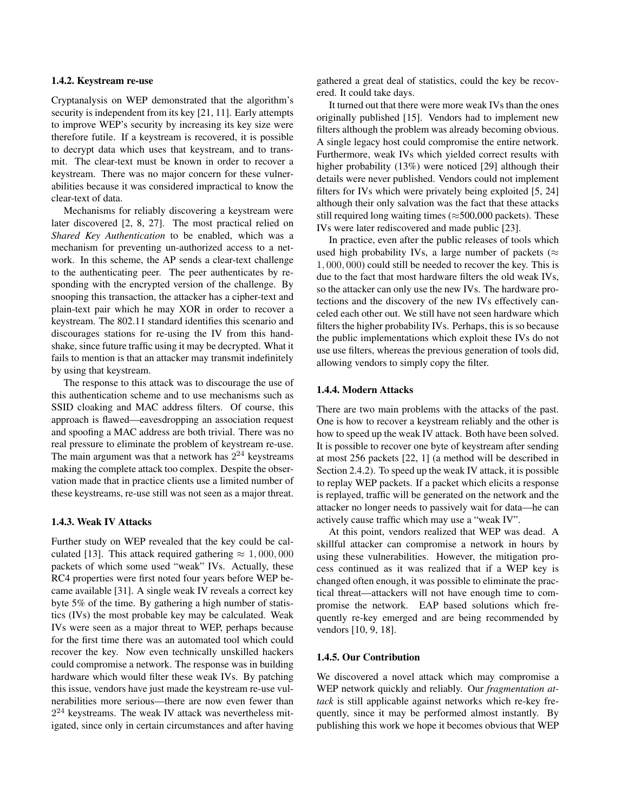#### 1.4.2. Keystream re-use

Cryptanalysis on WEP demonstrated that the algorithm's security is independent from its key [21, 11]. Early attempts to improve WEP's security by increasing its key size were therefore futile. If a keystream is recovered, it is possible to decrypt data which uses that keystream, and to transmit. The clear-text must be known in order to recover a keystream. There was no major concern for these vulnerabilities because it was considered impractical to know the clear-text of data.

Mechanisms for reliably discovering a keystream were later discovered [2, 8, 27]. The most practical relied on *Shared Key Authentication* to be enabled, which was a mechanism for preventing un-authorized access to a network. In this scheme, the AP sends a clear-text challenge to the authenticating peer. The peer authenticates by responding with the encrypted version of the challenge. By snooping this transaction, the attacker has a cipher-text and plain-text pair which he may XOR in order to recover a keystream. The 802.11 standard identifies this scenario and discourages stations for re-using the IV from this handshake, since future traffic using it may be decrypted. What it fails to mention is that an attacker may transmit indefinitely by using that keystream.

The response to this attack was to discourage the use of this authentication scheme and to use mechanisms such as SSID cloaking and MAC address filters. Of course, this approach is flawed—eavesdropping an association request and spoofing a MAC address are both trivial. There was no real pressure to eliminate the problem of keystream re-use. The main argument was that a network has  $2^{24}$  keystreams making the complete attack too complex. Despite the observation made that in practice clients use a limited number of these keystreams, re-use still was not seen as a major threat.

#### 1.4.3. Weak IV Attacks

Further study on WEP revealed that the key could be calculated [13]. This attack required gathering  $\approx 1,000,000$ packets of which some used "weak" IVs. Actually, these RC4 properties were first noted four years before WEP became available [31]. A single weak IV reveals a correct key byte 5% of the time. By gathering a high number of statistics (IVs) the most probable key may be calculated. Weak IVs were seen as a major threat to WEP, perhaps because for the first time there was an automated tool which could recover the key. Now even technically unskilled hackers could compromise a network. The response was in building hardware which would filter these weak IVs. By patching this issue, vendors have just made the keystream re-use vulnerabilities more serious—there are now even fewer than  $2^{24}$  keystreams. The weak IV attack was nevertheless mitigated, since only in certain circumstances and after having gathered a great deal of statistics, could the key be recovered. It could take days.

It turned out that there were more weak IVs than the ones originally published [15]. Vendors had to implement new filters although the problem was already becoming obvious. A single legacy host could compromise the entire network. Furthermore, weak IVs which yielded correct results with higher probability (13%) were noticed [29] although their details were never published. Vendors could not implement filters for IVs which were privately being exploited [5, 24] although their only salvation was the fact that these attacks still required long waiting times ( $\approx$ 500,000 packets). These IVs were later rediscovered and made public [23].

In practice, even after the public releases of tools which used high probability IVs, a large number of packets ( $\approx$ 1, 000, 000) could still be needed to recover the key. This is due to the fact that most hardware filters the old weak IVs, so the attacker can only use the new IVs. The hardware protections and the discovery of the new IVs effectively canceled each other out. We still have not seen hardware which filters the higher probability IVs. Perhaps, this is so because the public implementations which exploit these IVs do not use use filters, whereas the previous generation of tools did, allowing vendors to simply copy the filter.

#### 1.4.4. Modern Attacks

There are two main problems with the attacks of the past. One is how to recover a keystream reliably and the other is how to speed up the weak IV attack. Both have been solved. It is possible to recover one byte of keystream after sending at most 256 packets [22, 1] (a method will be described in Section 2.4.2). To speed up the weak IV attack, it is possible to replay WEP packets. If a packet which elicits a response is replayed, traffic will be generated on the network and the attacker no longer needs to passively wait for data—he can actively cause traffic which may use a "weak IV".

At this point, vendors realized that WEP was dead. A skillful attacker can compromise a network in hours by using these vulnerabilities. However, the mitigation process continued as it was realized that if a WEP key is changed often enough, it was possible to eliminate the practical threat—attackers will not have enough time to compromise the network. EAP based solutions which frequently re-key emerged and are being recommended by vendors [10, 9, 18].

#### 1.4.5. Our Contribution

We discovered a novel attack which may compromise a WEP network quickly and reliably. Our *fragmentation attack* is still applicable against networks which re-key frequently, since it may be performed almost instantly. By publishing this work we hope it becomes obvious that WEP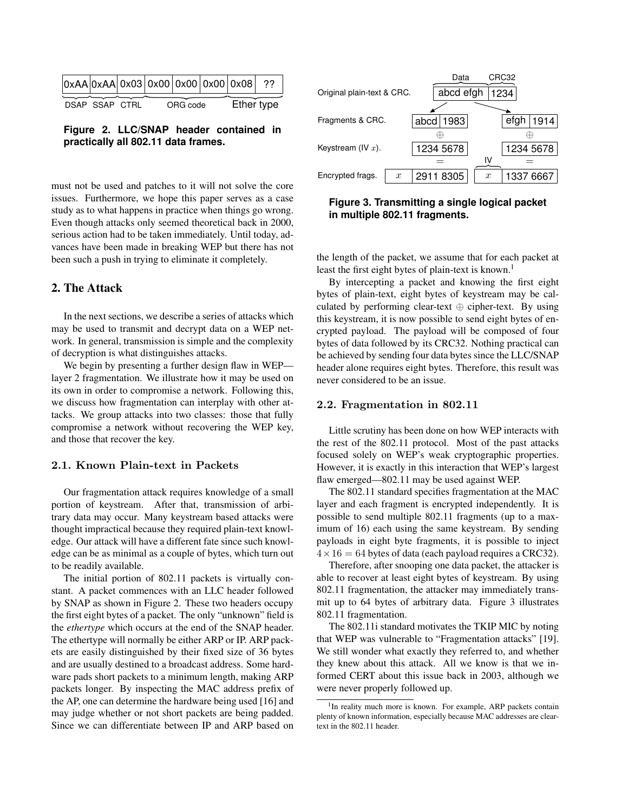| 0xAA 0xAA 0x03 0x00 0x00 0x00 0x08 |                |  |          |  |            |
|------------------------------------|----------------|--|----------|--|------------|
|                                    | DSAP SSAP CTRL |  | ORG code |  | Ether type |

**Figure 2. LLC/SNAP header contained in practically all 802.11 data frames.**

must not be used and patches to it will not solve the core issues. Furthermore, we hope this paper serves as a case study as to what happens in practice when things go wrong. Even though attacks only seemed theoretical back in 2000, serious action had to be taken immediately. Until today, advances have been made in breaking WEP but there has not been such a push in trying to eliminate it completely.

# 2. The Attack

In the next sections, we describe a series of attacks which may be used to transmit and decrypt data on a WEP network. In general, transmission is simple and the complexity of decryption is what distinguishes attacks.

We begin by presenting a further design flaw in WEP layer 2 fragmentation. We illustrate how it may be used on its own in order to compromise a network. Following this, we discuss how fragmentation can interplay with other attacks. We group attacks into two classes: those that fully compromise a network without recovering the WEP key, and those that recover the key.

## 2.1. Known Plain-text in Packets

Our fragmentation attack requires knowledge of a small portion of keystream. After that, transmission of arbitrary data may occur. Many keystream based attacks were thought impractical because they required plain-text knowledge. Our attack will have a different fate since such knowledge can be as minimal as a couple of bytes, which turn out to be readily available.

The initial portion of 802.11 packets is virtually constant. A packet commences with an LLC header followed by SNAP as shown in Figure 2. These two headers occupy the first eight bytes of a packet. The only "unknown" field is the *ethertype* which occurs at the end of the SNAP header. The ethertype will normally be either ARP or IP. ARP packets are easily distinguished by their fixed size of 36 bytes and are usually destined to a broadcast address. Some hardware pads short packets to a minimum length, making ARP packets longer. By inspecting the MAC address prefix of the AP, one can determine the hardware being used [16] and may judge whether or not short packets are being padded. Since we can differentiate between IP and ARP based on



**Figure 3. Transmitting a single logical packet in multiple 802.11 fragments.**

the length of the packet, we assume that for each packet at least the first eight bytes of plain-text is known.<sup>1</sup>

By intercepting a packet and knowing the first eight bytes of plain-text, eight bytes of keystream may be calculated by performing clear-text  $\oplus$  cipher-text. By using this keystream, it is now possible to send eight bytes of encrypted payload. The payload will be composed of four bytes of data followed by its CRC32. Nothing practical can be achieved by sending four data bytes since the LLC/SNAP header alone requires eight bytes. Therefore, this result was never considered to be an issue.

#### 2.2. Fragmentation in 802.11

Little scrutiny has been done on how WEP interacts with the rest of the 802.11 protocol. Most of the past attacks focused solely on WEP's weak cryptographic properties. However, it is exactly in this interaction that WEP's largest flaw emerged—802.11 may be used against WEP.

The 802.11 standard specifies fragmentation at the MAC layer and each fragment is encrypted independently. It is possible to send multiple 802.11 fragments (up to a maximum of 16) each using the same keystream. By sending payloads in eight byte fragments, it is possible to inject  $4 \times 16 = 64$  bytes of data (each payload requires a CRC32).

Therefore, after snooping one data packet, the attacker is able to recover at least eight bytes of keystream. By using 802.11 fragmentation, the attacker may immediately transmit up to 64 bytes of arbitrary data. Figure 3 illustrates 802.11 fragmentation.

The 802.11i standard motivates the TKIP MIC by noting that WEP was vulnerable to "Fragmentation attacks" [19]. We still wonder what exactly they referred to, and whether they knew about this attack. All we know is that we informed CERT about this issue back in 2003, although we were never properly followed up.

<sup>&</sup>lt;sup>1</sup>In reality much more is known. For example, ARP packets contain plenty of known information, especially because MAC addresses are cleartext in the 802.11 header.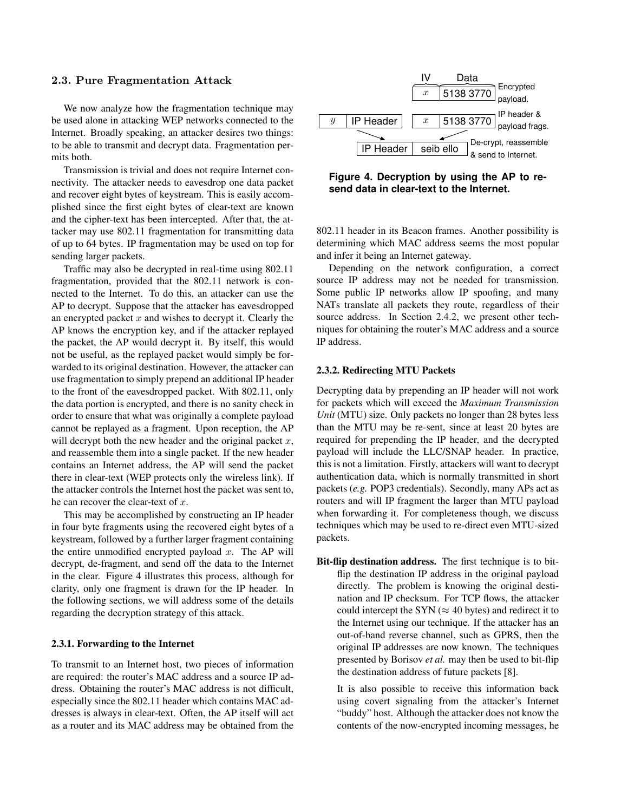#### 2.3. Pure Fragmentation Attack

We now analyze how the fragmentation technique may be used alone in attacking WEP networks connected to the Internet. Broadly speaking, an attacker desires two things: to be able to transmit and decrypt data. Fragmentation permits both.

Transmission is trivial and does not require Internet connectivity. The attacker needs to eavesdrop one data packet and recover eight bytes of keystream. This is easily accomplished since the first eight bytes of clear-text are known and the cipher-text has been intercepted. After that, the attacker may use 802.11 fragmentation for transmitting data of up to 64 bytes. IP fragmentation may be used on top for sending larger packets.

Traffic may also be decrypted in real-time using 802.11 fragmentation, provided that the 802.11 network is connected to the Internet. To do this, an attacker can use the AP to decrypt. Suppose that the attacker has eavesdropped an encrypted packet  $x$  and wishes to decrypt it. Clearly the AP knows the encryption key, and if the attacker replayed the packet, the AP would decrypt it. By itself, this would not be useful, as the replayed packet would simply be forwarded to its original destination. However, the attacker can use fragmentation to simply prepend an additional IP header to the front of the eavesdropped packet. With 802.11, only the data portion is encrypted, and there is no sanity check in order to ensure that what was originally a complete payload cannot be replayed as a fragment. Upon reception, the AP will decrypt both the new header and the original packet  $x$ , and reassemble them into a single packet. If the new header contains an Internet address, the AP will send the packet there in clear-text (WEP protects only the wireless link). If the attacker controls the Internet host the packet was sent to, he can recover the clear-text of  $x$ .

This may be accomplished by constructing an IP header in four byte fragments using the recovered eight bytes of a keystream, followed by a further larger fragment containing the entire unmodified encrypted payload  $x$ . The AP will decrypt, de-fragment, and send off the data to the Internet in the clear. Figure 4 illustrates this process, although for clarity, only one fragment is drawn for the IP header. In the following sections, we will address some of the details regarding the decryption strategy of this attack.

## 2.3.1. Forwarding to the Internet

To transmit to an Internet host, two pieces of information are required: the router's MAC address and a source IP address. Obtaining the router's MAC address is not difficult, especially since the 802.11 header which contains MAC addresses is always in clear-text. Often, the AP itself will act as a router and its MAC address may be obtained from the



**Figure 4. Decryption by using the AP to resend data in clear-text to the Internet.**

802.11 header in its Beacon frames. Another possibility is determining which MAC address seems the most popular and infer it being an Internet gateway.

Depending on the network configuration, a correct source IP address may not be needed for transmission. Some public IP networks allow IP spoofing, and many NATs translate all packets they route, regardless of their source address. In Section 2.4.2, we present other techniques for obtaining the router's MAC address and a source IP address.

#### 2.3.2. Redirecting MTU Packets

Decrypting data by prepending an IP header will not work for packets which will exceed the *Maximum Transmission Unit* (MTU) size. Only packets no longer than 28 bytes less than the MTU may be re-sent, since at least 20 bytes are required for prepending the IP header, and the decrypted payload will include the LLC/SNAP header. In practice, this is not a limitation. Firstly, attackers will want to decrypt authentication data, which is normally transmitted in short packets (*e.g.* POP3 credentials). Secondly, many APs act as routers and will IP fragment the larger than MTU payload when forwarding it. For completeness though, we discuss techniques which may be used to re-direct even MTU-sized packets.

Bit-flip destination address. The first technique is to bitflip the destination IP address in the original payload directly. The problem is knowing the original destination and IP checksum. For TCP flows, the attacker could intercept the SYN ( $\approx$  40 bytes) and redirect it to the Internet using our technique. If the attacker has an out-of-band reverse channel, such as GPRS, then the original IP addresses are now known. The techniques presented by Borisov *et al.* may then be used to bit-flip the destination address of future packets [8].

It is also possible to receive this information back using covert signaling from the attacker's Internet "buddy" host. Although the attacker does not know the contents of the now-encrypted incoming messages, he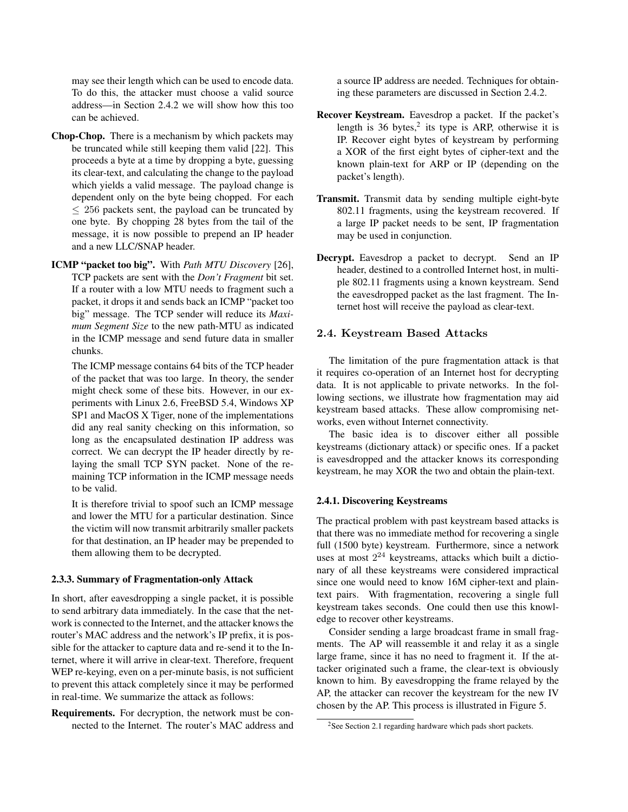may see their length which can be used to encode data. To do this, the attacker must choose a valid source address—in Section 2.4.2 we will show how this too can be achieved.

- Chop-Chop. There is a mechanism by which packets may be truncated while still keeping them valid [22]. This proceeds a byte at a time by dropping a byte, guessing its clear-text, and calculating the change to the payload which yields a valid message. The payload change is dependent only on the byte being chopped. For each  $\leq$  256 packets sent, the payload can be truncated by one byte. By chopping 28 bytes from the tail of the message, it is now possible to prepend an IP header and a new LLC/SNAP header.
- ICMP "packet too big". With *Path MTU Discovery* [26], TCP packets are sent with the *Don't Fragment* bit set. If a router with a low MTU needs to fragment such a packet, it drops it and sends back an ICMP "packet too big" message. The TCP sender will reduce its *Maximum Segment Size* to the new path-MTU as indicated in the ICMP message and send future data in smaller chunks.

The ICMP message contains 64 bits of the TCP header of the packet that was too large. In theory, the sender might check some of these bits. However, in our experiments with Linux 2.6, FreeBSD 5.4, Windows XP SP1 and MacOS X Tiger, none of the implementations did any real sanity checking on this information, so long as the encapsulated destination IP address was correct. We can decrypt the IP header directly by relaying the small TCP SYN packet. None of the remaining TCP information in the ICMP message needs to be valid.

It is therefore trivial to spoof such an ICMP message and lower the MTU for a particular destination. Since the victim will now transmit arbitrarily smaller packets for that destination, an IP header may be prepended to them allowing them to be decrypted.

#### 2.3.3. Summary of Fragmentation-only Attack

In short, after eavesdropping a single packet, it is possible to send arbitrary data immediately. In the case that the network is connected to the Internet, and the attacker knows the router's MAC address and the network's IP prefix, it is possible for the attacker to capture data and re-send it to the Internet, where it will arrive in clear-text. Therefore, frequent WEP re-keying, even on a per-minute basis, is not sufficient to prevent this attack completely since it may be performed in real-time. We summarize the attack as follows:

Requirements. For decryption, the network must be connected to the Internet. The router's MAC address and a source IP address are needed. Techniques for obtaining these parameters are discussed in Section 2.4.2.

- Recover Keystream. Eavesdrop a packet. If the packet's length is 36 bytes, $2$  its type is ARP, otherwise it is IP. Recover eight bytes of keystream by performing a XOR of the first eight bytes of cipher-text and the known plain-text for ARP or IP (depending on the packet's length).
- Transmit. Transmit data by sending multiple eight-byte 802.11 fragments, using the keystream recovered. If a large IP packet needs to be sent, IP fragmentation may be used in conjunction.
- Decrypt. Eavesdrop a packet to decrypt. Send an IP header, destined to a controlled Internet host, in multiple 802.11 fragments using a known keystream. Send the eavesdropped packet as the last fragment. The Internet host will receive the payload as clear-text.

## 2.4. Keystream Based Attacks

The limitation of the pure fragmentation attack is that it requires co-operation of an Internet host for decrypting data. It is not applicable to private networks. In the following sections, we illustrate how fragmentation may aid keystream based attacks. These allow compromising networks, even without Internet connectivity.

The basic idea is to discover either all possible keystreams (dictionary attack) or specific ones. If a packet is eavesdropped and the attacker knows its corresponding keystream, he may XOR the two and obtain the plain-text.

#### 2.4.1. Discovering Keystreams

The practical problem with past keystream based attacks is that there was no immediate method for recovering a single full (1500 byte) keystream. Furthermore, since a network uses at most  $2^{24}$  keystreams, attacks which built a dictionary of all these keystreams were considered impractical since one would need to know 16M cipher-text and plaintext pairs. With fragmentation, recovering a single full keystream takes seconds. One could then use this knowledge to recover other keystreams.

Consider sending a large broadcast frame in small fragments. The AP will reassemble it and relay it as a single large frame, since it has no need to fragment it. If the attacker originated such a frame, the clear-text is obviously known to him. By eavesdropping the frame relayed by the AP, the attacker can recover the keystream for the new IV chosen by the AP. This process is illustrated in Figure 5.

<sup>&</sup>lt;sup>2</sup>See Section 2.1 regarding hardware which pads short packets.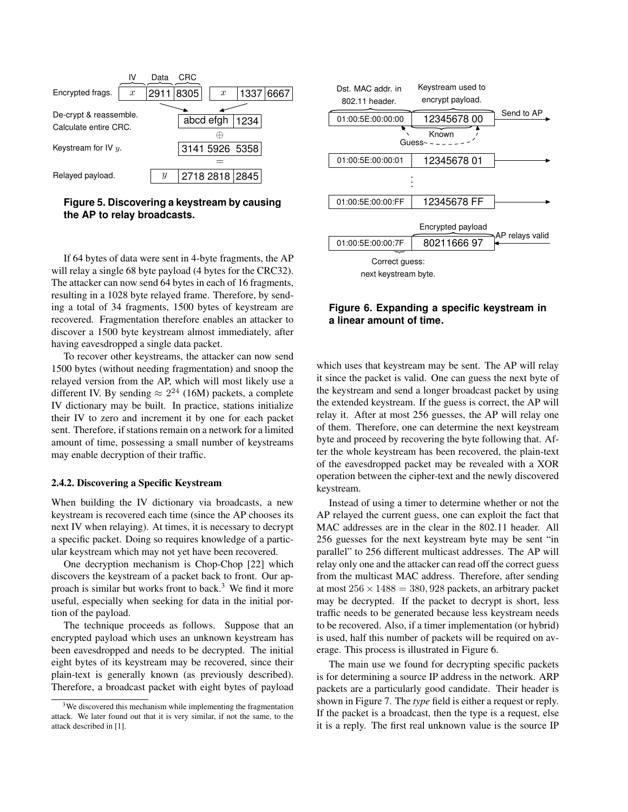

**Figure 5. Discovering a keystream by causing the AP to relay broadcasts.**

If 64 bytes of data were sent in 4-byte fragments, the AP will relay a single 68 byte payload (4 bytes for the CRC32). The attacker can now send 64 bytes in each of 16 fragments, resulting in a 1028 byte relayed frame. Therefore, by sending a total of 34 fragments, 1500 bytes of keystream are recovered. Fragmentation therefore enables an attacker to discover a 1500 byte keystream almost immediately, after having eavesdropped a single data packet.

To recover other keystreams, the attacker can now send 1500 bytes (without needing fragmentation) and snoop the relayed version from the AP, which will most likely use a different IV. By sending  $\approx 2^{24}$  (16M) packets, a complete IV dictionary may be built. In practice, stations initialize their IV to zero and increment it by one for each packet sent. Therefore, if stations remain on a network for a limited amount of time, possessing a small number of keystreams may enable decryption of their traffic.

#### 2.4.2. Discovering a Specific Keystream

When building the IV dictionary via broadcasts, a new keystream is recovered each time (since the AP chooses its next IV when relaying). At times, it is necessary to decrypt a specific packet. Doing so requires knowledge of a particular keystream which may not yet have been recovered.

One decryption mechanism is Chop-Chop [22] which discovers the keystream of a packet back to front. Our approach is similar but works front to back.<sup>3</sup> We find it more useful, especially when seeking for data in the initial portion of the payload.

The technique proceeds as follows. Suppose that an encrypted payload which uses an unknown keystream has been eavesdropped and needs to be decrypted. The initial eight bytes of its keystream may be recovered, since their plain-text is generally known (as previously described). Therefore, a broadcast packet with eight bytes of payload



**Figure 6. Expanding a specific keystream in a linear amount of time.**

which uses that keystream may be sent. The AP will relay it since the packet is valid. One can guess the next byte of the keystream and send a longer broadcast packet by using the extended keystream. If the guess is correct, the AP will relay it. After at most 256 guesses, the AP will relay one of them. Therefore, one can determine the next keystream byte and proceed by recovering the byte following that. After the whole keystream has been recovered, the plain-text of the eavesdropped packet may be revealed with a XOR operation between the cipher-text and the newly discovered keystream.

Instead of using a timer to determine whether or not the AP relayed the current guess, one can exploit the fact that MAC addresses are in the clear in the 802.11 header. All 256 guesses for the next keystream byte may be sent "in parallel" to 256 different multicast addresses. The AP will relay only one and the attacker can read off the correct guess from the multicast MAC address. Therefore, after sending at most  $256 \times 1488 = 380,928$  packets, an arbitrary packet may be decrypted. If the packet to decrypt is short, less traffic needs to be generated because less keystream needs to be recovered. Also, if a timer implementation (or hybrid) is used, half this number of packets will be required on average. This process is illustrated in Figure 6.

The main use we found for decrypting specific packets is for determining a source IP address in the network. ARP packets are a particularly good candidate. Their header is shown in Figure 7. The *type* field is either a request or reply. If the packet is a broadcast, then the type is a request, else it is a reply. The first real unknown value is the source IP

<sup>&</sup>lt;sup>3</sup>We discovered this mechanism while implementing the fragmentation attack. We later found out that it is very similar, if not the same, to the attack described in [1].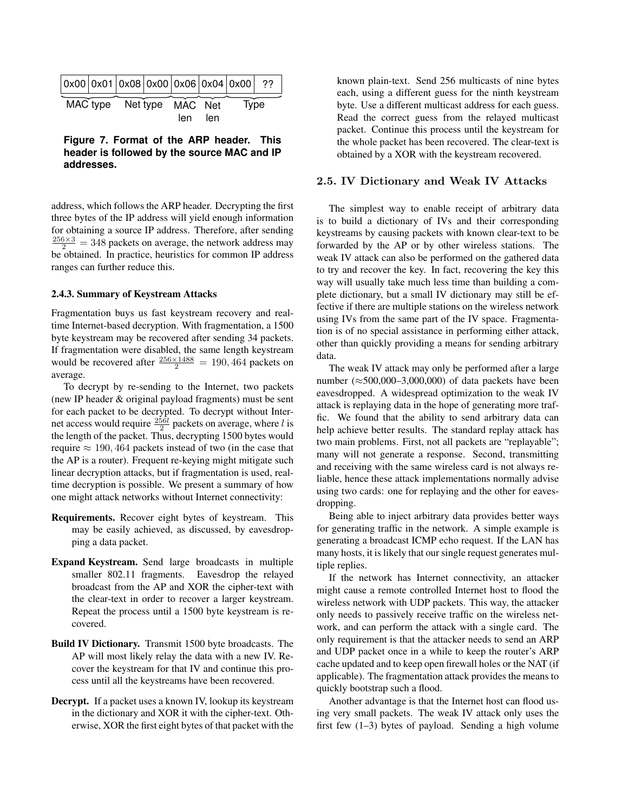| $\vert 0x00 \vert 0x01 \vert 0x08 \vert 0x00 \vert 0x06 \vert 0x04 \vert 0x00 \vert$ |                           |  |      |     |      | ?? |
|--------------------------------------------------------------------------------------|---------------------------|--|------|-----|------|----|
|                                                                                      | MAC type Net type MAC Net |  | len. | len | Type |    |

**Figure 7. Format of the ARP header. This header is followed by the source MAC and IP addresses.**

address, which follows the ARP header. Decrypting the first three bytes of the IP address will yield enough information for obtaining a source IP address. Therefore, after sending  $\frac{256\times3}{2}$  = 348 packets on average, the network address may be obtained. In practice, heuristics for common IP address ranges can further reduce this.

#### 2.4.3. Summary of Keystream Attacks

Fragmentation buys us fast keystream recovery and realtime Internet-based decryption. With fragmentation, a 1500 byte keystream may be recovered after sending 34 packets. If fragmentation were disabled, the same length keystream would be recovered after  $\frac{256 \times 1488}{2} = 190,464$  packets on average.

To decrypt by re-sending to the Internet, two packets (new IP header & original payload fragments) must be sent for each packet to be decrypted. To decrypt without Internet access would require  $\frac{256l}{2}$  packets on average, where l is the length of the packet. Thus, decrypting 1500 bytes would require  $\approx 190, 464$  packets instead of two (in the case that the AP is a router). Frequent re-keying might mitigate such linear decryption attacks, but if fragmentation is used, realtime decryption is possible. We present a summary of how one might attack networks without Internet connectivity:

- Requirements. Recover eight bytes of keystream. This may be easily achieved, as discussed, by eavesdropping a data packet.
- Expand Keystream. Send large broadcasts in multiple smaller 802.11 fragments. Eavesdrop the relayed broadcast from the AP and XOR the cipher-text with the clear-text in order to recover a larger keystream. Repeat the process until a 1500 byte keystream is recovered.
- Build IV Dictionary. Transmit 1500 byte broadcasts. The AP will most likely relay the data with a new IV. Recover the keystream for that IV and continue this process until all the keystreams have been recovered.
- Decrypt. If a packet uses a known IV, lookup its keystream in the dictionary and XOR it with the cipher-text. Otherwise, XOR the first eight bytes of that packet with the

known plain-text. Send 256 multicasts of nine bytes each, using a different guess for the ninth keystream byte. Use a different multicast address for each guess. Read the correct guess from the relayed multicast packet. Continue this process until the keystream for the whole packet has been recovered. The clear-text is obtained by a XOR with the keystream recovered.

## 2.5. IV Dictionary and Weak IV Attacks

The simplest way to enable receipt of arbitrary data is to build a dictionary of IVs and their corresponding keystreams by causing packets with known clear-text to be forwarded by the AP or by other wireless stations. The weak IV attack can also be performed on the gathered data to try and recover the key. In fact, recovering the key this way will usually take much less time than building a complete dictionary, but a small IV dictionary may still be effective if there are multiple stations on the wireless network using IVs from the same part of the IV space. Fragmentation is of no special assistance in performing either attack, other than quickly providing a means for sending arbitrary data.

The weak IV attack may only be performed after a large number ( $\approx$ 500,000–3,000,000) of data packets have been eavesdropped. A widespread optimization to the weak IV attack is replaying data in the hope of generating more traffic. We found that the ability to send arbitrary data can help achieve better results. The standard replay attack has two main problems. First, not all packets are "replayable"; many will not generate a response. Second, transmitting and receiving with the same wireless card is not always reliable, hence these attack implementations normally advise using two cards: one for replaying and the other for eavesdropping.

Being able to inject arbitrary data provides better ways for generating traffic in the network. A simple example is generating a broadcast ICMP echo request. If the LAN has many hosts, it is likely that our single request generates multiple replies.

If the network has Internet connectivity, an attacker might cause a remote controlled Internet host to flood the wireless network with UDP packets. This way, the attacker only needs to passively receive traffic on the wireless network, and can perform the attack with a single card. The only requirement is that the attacker needs to send an ARP and UDP packet once in a while to keep the router's ARP cache updated and to keep open firewall holes or the NAT (if applicable). The fragmentation attack provides the means to quickly bootstrap such a flood.

Another advantage is that the Internet host can flood using very small packets. The weak IV attack only uses the first few (1–3) bytes of payload. Sending a high volume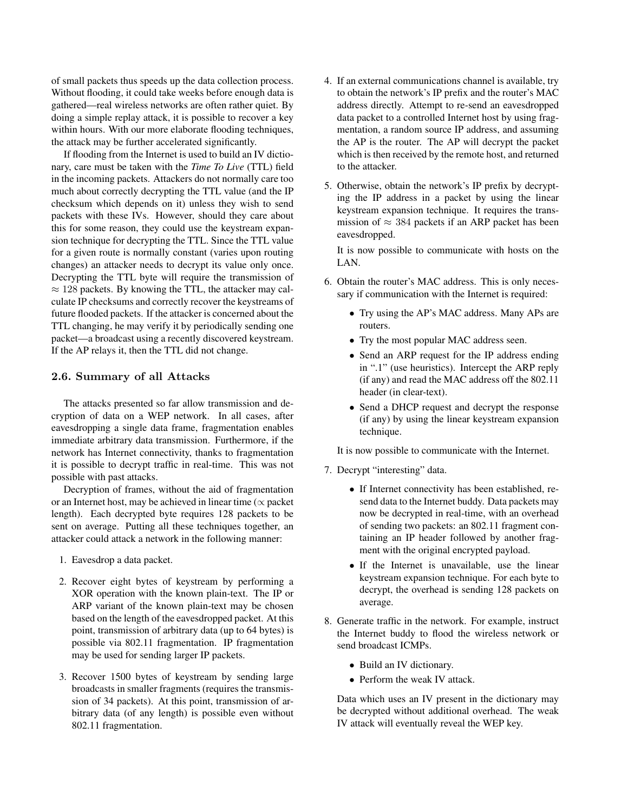of small packets thus speeds up the data collection process. Without flooding, it could take weeks before enough data is gathered—real wireless networks are often rather quiet. By doing a simple replay attack, it is possible to recover a key within hours. With our more elaborate flooding techniques, the attack may be further accelerated significantly.

If flooding from the Internet is used to build an IV dictionary, care must be taken with the *Time To Live* (TTL) field in the incoming packets. Attackers do not normally care too much about correctly decrypting the TTL value (and the IP checksum which depends on it) unless they wish to send packets with these IVs. However, should they care about this for some reason, they could use the keystream expansion technique for decrypting the TTL. Since the TTL value for a given route is normally constant (varies upon routing changes) an attacker needs to decrypt its value only once. Decrypting the TTL byte will require the transmission of  $\approx$  128 packets. By knowing the TTL, the attacker may calculate IP checksums and correctly recover the keystreams of future flooded packets. If the attacker is concerned about the TTL changing, he may verify it by periodically sending one packet—a broadcast using a recently discovered keystream. If the AP relays it, then the TTL did not change.

# 2.6. Summary of all Attacks

The attacks presented so far allow transmission and decryption of data on a WEP network. In all cases, after eavesdropping a single data frame, fragmentation enables immediate arbitrary data transmission. Furthermore, if the network has Internet connectivity, thanks to fragmentation it is possible to decrypt traffic in real-time. This was not possible with past attacks.

Decryption of frames, without the aid of fragmentation or an Internet host, may be achieved in linear time ( $\propto$  packet length). Each decrypted byte requires 128 packets to be sent on average. Putting all these techniques together, an attacker could attack a network in the following manner:

- 1. Eavesdrop a data packet.
- 2. Recover eight bytes of keystream by performing a XOR operation with the known plain-text. The IP or ARP variant of the known plain-text may be chosen based on the length of the eavesdropped packet. At this point, transmission of arbitrary data (up to 64 bytes) is possible via 802.11 fragmentation. IP fragmentation may be used for sending larger IP packets.
- 3. Recover 1500 bytes of keystream by sending large broadcasts in smaller fragments (requires the transmission of 34 packets). At this point, transmission of arbitrary data (of any length) is possible even without 802.11 fragmentation.
- 4. If an external communications channel is available, try to obtain the network's IP prefix and the router's MAC address directly. Attempt to re-send an eavesdropped data packet to a controlled Internet host by using fragmentation, a random source IP address, and assuming the AP is the router. The AP will decrypt the packet which is then received by the remote host, and returned to the attacker.
- 5. Otherwise, obtain the network's IP prefix by decrypting the IP address in a packet by using the linear keystream expansion technique. It requires the transmission of  $\approx$  384 packets if an ARP packet has been eavesdropped.

It is now possible to communicate with hosts on the LAN.

- 6. Obtain the router's MAC address. This is only necessary if communication with the Internet is required:
	- Try using the AP's MAC address. Many APs are routers.
	- Try the most popular MAC address seen.
	- Send an ARP request for the IP address ending in ".1" (use heuristics). Intercept the ARP reply (if any) and read the MAC address off the 802.11 header (in clear-text).
	- Send a DHCP request and decrypt the response (if any) by using the linear keystream expansion technique.

It is now possible to communicate with the Internet.

- 7. Decrypt "interesting" data.
	- If Internet connectivity has been established, resend data to the Internet buddy. Data packets may now be decrypted in real-time, with an overhead of sending two packets: an 802.11 fragment containing an IP header followed by another fragment with the original encrypted payload.
	- If the Internet is unavailable, use the linear keystream expansion technique. For each byte to decrypt, the overhead is sending 128 packets on average.
- 8. Generate traffic in the network. For example, instruct the Internet buddy to flood the wireless network or send broadcast ICMPs.
	- Build an IV dictionary.
	- Perform the weak IV attack.

Data which uses an IV present in the dictionary may be decrypted without additional overhead. The weak IV attack will eventually reveal the WEP key.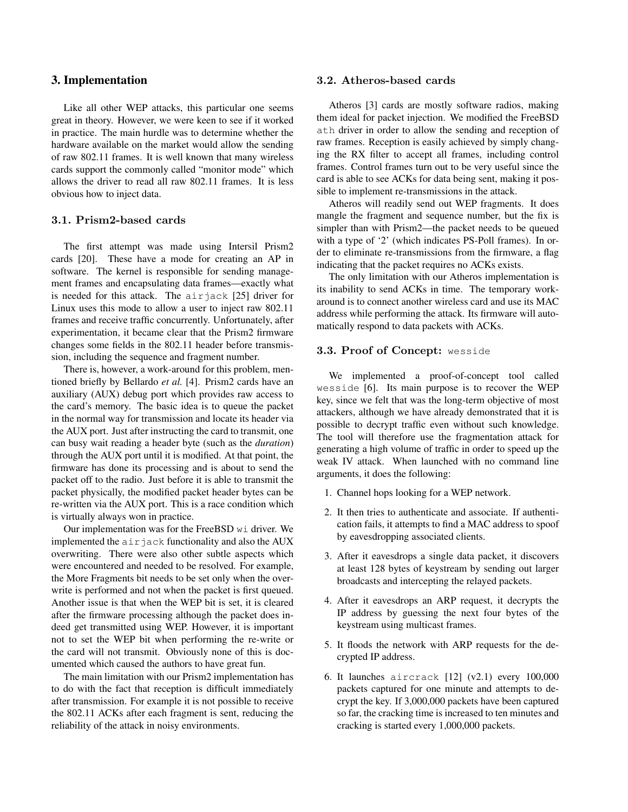# 3. Implementation

Like all other WEP attacks, this particular one seems great in theory. However, we were keen to see if it worked in practice. The main hurdle was to determine whether the hardware available on the market would allow the sending of raw 802.11 frames. It is well known that many wireless cards support the commonly called "monitor mode" which allows the driver to read all raw 802.11 frames. It is less obvious how to inject data.

# 3.1. Prism2-based cards

The first attempt was made using Intersil Prism2 cards [20]. These have a mode for creating an AP in software. The kernel is responsible for sending management frames and encapsulating data frames—exactly what is needed for this attack. The airjack [25] driver for Linux uses this mode to allow a user to inject raw 802.11 frames and receive traffic concurrently. Unfortunately, after experimentation, it became clear that the Prism2 firmware changes some fields in the 802.11 header before transmission, including the sequence and fragment number.

There is, however, a work-around for this problem, mentioned briefly by Bellardo *et al.* [4]. Prism2 cards have an auxiliary (AUX) debug port which provides raw access to the card's memory. The basic idea is to queue the packet in the normal way for transmission and locate its header via the AUX port. Just after instructing the card to transmit, one can busy wait reading a header byte (such as the *duration*) through the AUX port until it is modified. At that point, the firmware has done its processing and is about to send the packet off to the radio. Just before it is able to transmit the packet physically, the modified packet header bytes can be re-written via the AUX port. This is a race condition which is virtually always won in practice.

Our implementation was for the FreeBSD wi driver. We implemented the  $\arctan z$  functionality and also the AUX overwriting. There were also other subtle aspects which were encountered and needed to be resolved. For example, the More Fragments bit needs to be set only when the overwrite is performed and not when the packet is first queued. Another issue is that when the WEP bit is set, it is cleared after the firmware processing although the packet does indeed get transmitted using WEP. However, it is important not to set the WEP bit when performing the re-write or the card will not transmit. Obviously none of this is documented which caused the authors to have great fun.

The main limitation with our Prism2 implementation has to do with the fact that reception is difficult immediately after transmission. For example it is not possible to receive the 802.11 ACKs after each fragment is sent, reducing the reliability of the attack in noisy environments.

# 3.2. Atheros-based cards

Atheros [3] cards are mostly software radios, making them ideal for packet injection. We modified the FreeBSD ath driver in order to allow the sending and reception of raw frames. Reception is easily achieved by simply changing the RX filter to accept all frames, including control frames. Control frames turn out to be very useful since the card is able to see ACKs for data being sent, making it possible to implement re-transmissions in the attack.

Atheros will readily send out WEP fragments. It does mangle the fragment and sequence number, but the fix is simpler than with Prism2—the packet needs to be queued with a type of '2' (which indicates PS-Poll frames). In order to eliminate re-transmissions from the firmware, a flag indicating that the packet requires no ACKs exists.

The only limitation with our Atheros implementation is its inability to send ACKs in time. The temporary workaround is to connect another wireless card and use its MAC address while performing the attack. Its firmware will automatically respond to data packets with ACKs.

#### 3.3. Proof of Concept: wesside

We implemented a proof-of-concept tool called wesside [6]. Its main purpose is to recover the WEP key, since we felt that was the long-term objective of most attackers, although we have already demonstrated that it is possible to decrypt traffic even without such knowledge. The tool will therefore use the fragmentation attack for generating a high volume of traffic in order to speed up the weak IV attack. When launched with no command line arguments, it does the following:

- 1. Channel hops looking for a WEP network.
- 2. It then tries to authenticate and associate. If authentication fails, it attempts to find a MAC address to spoof by eavesdropping associated clients.
- 3. After it eavesdrops a single data packet, it discovers at least 128 bytes of keystream by sending out larger broadcasts and intercepting the relayed packets.
- 4. After it eavesdrops an ARP request, it decrypts the IP address by guessing the next four bytes of the keystream using multicast frames.
- 5. It floods the network with ARP requests for the decrypted IP address.
- 6. It launches aircrack [12] (v2.1) every 100,000 packets captured for one minute and attempts to decrypt the key. If 3,000,000 packets have been captured so far, the cracking time is increased to ten minutes and cracking is started every 1,000,000 packets.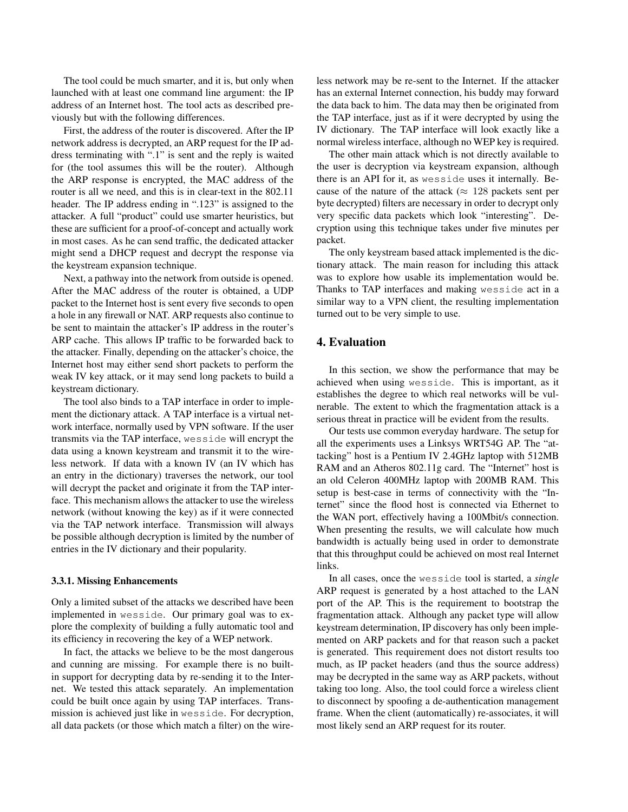The tool could be much smarter, and it is, but only when launched with at least one command line argument: the IP address of an Internet host. The tool acts as described previously but with the following differences.

First, the address of the router is discovered. After the IP network address is decrypted, an ARP request for the IP address terminating with ".1" is sent and the reply is waited for (the tool assumes this will be the router). Although the ARP response is encrypted, the MAC address of the router is all we need, and this is in clear-text in the 802.11 header. The IP address ending in ".123" is assigned to the attacker. A full "product" could use smarter heuristics, but these are sufficient for a proof-of-concept and actually work in most cases. As he can send traffic, the dedicated attacker might send a DHCP request and decrypt the response via the keystream expansion technique.

Next, a pathway into the network from outside is opened. After the MAC address of the router is obtained, a UDP packet to the Internet host is sent every five seconds to open a hole in any firewall or NAT. ARP requests also continue to be sent to maintain the attacker's IP address in the router's ARP cache. This allows IP traffic to be forwarded back to the attacker. Finally, depending on the attacker's choice, the Internet host may either send short packets to perform the weak IV key attack, or it may send long packets to build a keystream dictionary.

The tool also binds to a TAP interface in order to implement the dictionary attack. A TAP interface is a virtual network interface, normally used by VPN software. If the user transmits via the TAP interface, wesside will encrypt the data using a known keystream and transmit it to the wireless network. If data with a known IV (an IV which has an entry in the dictionary) traverses the network, our tool will decrypt the packet and originate it from the TAP interface. This mechanism allows the attacker to use the wireless network (without knowing the key) as if it were connected via the TAP network interface. Transmission will always be possible although decryption is limited by the number of entries in the IV dictionary and their popularity.

#### 3.3.1. Missing Enhancements

Only a limited subset of the attacks we described have been implemented in wesside. Our primary goal was to explore the complexity of building a fully automatic tool and its efficiency in recovering the key of a WEP network.

In fact, the attacks we believe to be the most dangerous and cunning are missing. For example there is no builtin support for decrypting data by re-sending it to the Internet. We tested this attack separately. An implementation could be built once again by using TAP interfaces. Transmission is achieved just like in wesside. For decryption, all data packets (or those which match a filter) on the wireless network may be re-sent to the Internet. If the attacker has an external Internet connection, his buddy may forward the data back to him. The data may then be originated from the TAP interface, just as if it were decrypted by using the IV dictionary. The TAP interface will look exactly like a normal wireless interface, although no WEP key is required.

The other main attack which is not directly available to the user is decryption via keystream expansion, although there is an API for it, as wesside uses it internally. Because of the nature of the attack ( $\approx$  128 packets sent per byte decrypted) filters are necessary in order to decrypt only very specific data packets which look "interesting". Decryption using this technique takes under five minutes per packet.

The only keystream based attack implemented is the dictionary attack. The main reason for including this attack was to explore how usable its implementation would be. Thanks to TAP interfaces and making wesside act in a similar way to a VPN client, the resulting implementation turned out to be very simple to use.

# 4. Evaluation

In this section, we show the performance that may be achieved when using wesside. This is important, as it establishes the degree to which real networks will be vulnerable. The extent to which the fragmentation attack is a serious threat in practice will be evident from the results.

Our tests use common everyday hardware. The setup for all the experiments uses a Linksys WRT54G AP. The "attacking" host is a Pentium IV 2.4GHz laptop with 512MB RAM and an Atheros 802.11g card. The "Internet" host is an old Celeron 400MHz laptop with 200MB RAM. This setup is best-case in terms of connectivity with the "Internet" since the flood host is connected via Ethernet to the WAN port, effectively having a 100Mbit/s connection. When presenting the results, we will calculate how much bandwidth is actually being used in order to demonstrate that this throughput could be achieved on most real Internet links.

In all cases, once the wesside tool is started, a *single* ARP request is generated by a host attached to the LAN port of the AP. This is the requirement to bootstrap the fragmentation attack. Although any packet type will allow keystream determination, IP discovery has only been implemented on ARP packets and for that reason such a packet is generated. This requirement does not distort results too much, as IP packet headers (and thus the source address) may be decrypted in the same way as ARP packets, without taking too long. Also, the tool could force a wireless client to disconnect by spoofing a de-authentication management frame. When the client (automatically) re-associates, it will most likely send an ARP request for its router.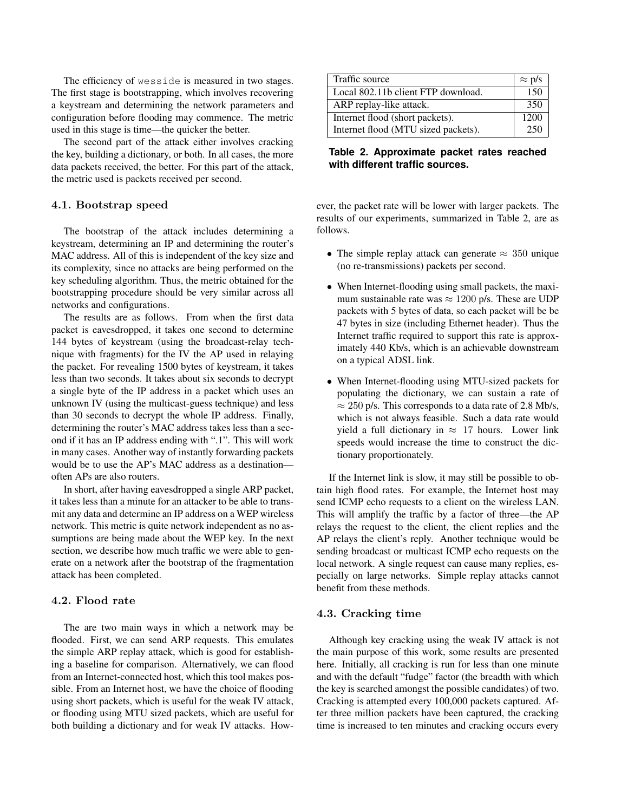The efficiency of wesside is measured in two stages. The first stage is bootstrapping, which involves recovering a keystream and determining the network parameters and configuration before flooding may commence. The metric used in this stage is time—the quicker the better.

The second part of the attack either involves cracking the key, building a dictionary, or both. In all cases, the more data packets received, the better. For this part of the attack, the metric used is packets received per second.

#### 4.1. Bootstrap speed

The bootstrap of the attack includes determining a keystream, determining an IP and determining the router's MAC address. All of this is independent of the key size and its complexity, since no attacks are being performed on the key scheduling algorithm. Thus, the metric obtained for the bootstrapping procedure should be very similar across all networks and configurations.

The results are as follows. From when the first data packet is eavesdropped, it takes one second to determine 144 bytes of keystream (using the broadcast-relay technique with fragments) for the IV the AP used in relaying the packet. For revealing 1500 bytes of keystream, it takes less than two seconds. It takes about six seconds to decrypt a single byte of the IP address in a packet which uses an unknown IV (using the multicast-guess technique) and less than 30 seconds to decrypt the whole IP address. Finally, determining the router's MAC address takes less than a second if it has an IP address ending with ".1". This will work in many cases. Another way of instantly forwarding packets would be to use the AP's MAC address as a destination often APs are also routers.

In short, after having eavesdropped a single ARP packet, it takes less than a minute for an attacker to be able to transmit any data and determine an IP address on a WEP wireless network. This metric is quite network independent as no assumptions are being made about the WEP key. In the next section, we describe how much traffic we were able to generate on a network after the bootstrap of the fragmentation attack has been completed.

### 4.2. Flood rate

The are two main ways in which a network may be flooded. First, we can send ARP requests. This emulates the simple ARP replay attack, which is good for establishing a baseline for comparison. Alternatively, we can flood from an Internet-connected host, which this tool makes possible. From an Internet host, we have the choice of flooding using short packets, which is useful for the weak IV attack, or flooding using MTU sized packets, which are useful for both building a dictionary and for weak IV attacks. How-

| Traffic source                      | $\approx$ p/s |
|-------------------------------------|---------------|
| Local 802.11b client FTP download.  | 150           |
| ARP replay-like attack.             | 350           |
| Internet flood (short packets).     | 1200          |
| Internet flood (MTU sized packets). | 250           |
|                                     |               |

**Table 2. Approximate packet rates reached with different traffic sources.**

ever, the packet rate will be lower with larger packets. The results of our experiments, summarized in Table 2, are as follows.

- The simple replay attack can generate  $\approx 350$  unique (no re-transmissions) packets per second.
- When Internet-flooding using small packets, the maximum sustainable rate was  $\approx 1200$  p/s. These are UDP packets with 5 bytes of data, so each packet will be be 47 bytes in size (including Ethernet header). Thus the Internet traffic required to support this rate is approximately 440 Kb/s, which is an achievable downstream on a typical ADSL link.
- When Internet-flooding using MTU-sized packets for populating the dictionary, we can sustain a rate of  $\approx$  250 p/s. This corresponds to a data rate of 2.8 Mb/s, which is not always feasible. Such a data rate would yield a full dictionary in  $\approx$  17 hours. Lower link speeds would increase the time to construct the dictionary proportionately.

If the Internet link is slow, it may still be possible to obtain high flood rates. For example, the Internet host may send ICMP echo requests to a client on the wireless LAN. This will amplify the traffic by a factor of three—the AP relays the request to the client, the client replies and the AP relays the client's reply. Another technique would be sending broadcast or multicast ICMP echo requests on the local network. A single request can cause many replies, especially on large networks. Simple replay attacks cannot benefit from these methods.

### 4.3. Cracking time

Although key cracking using the weak IV attack is not the main purpose of this work, some results are presented here. Initially, all cracking is run for less than one minute and with the default "fudge" factor (the breadth with which the key is searched amongst the possible candidates) of two. Cracking is attempted every 100,000 packets captured. After three million packets have been captured, the cracking time is increased to ten minutes and cracking occurs every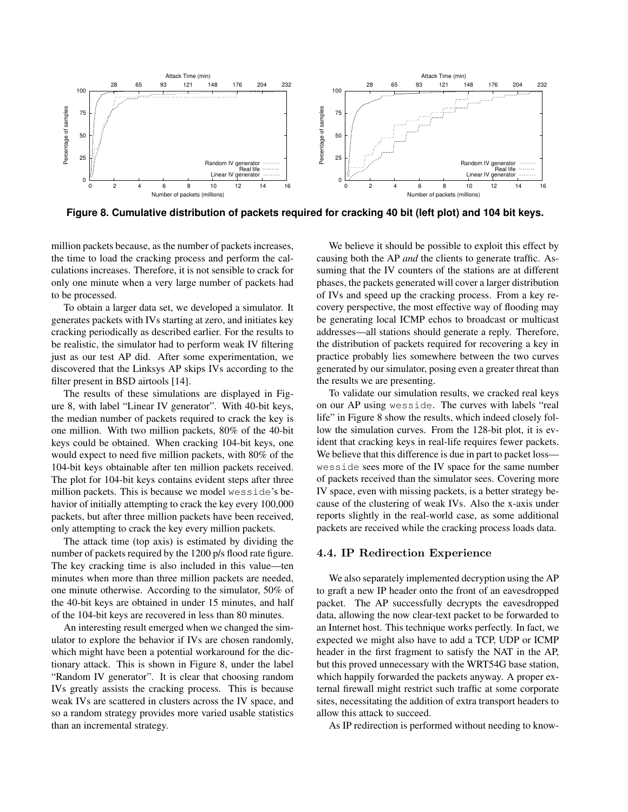

**Figure 8. Cumulative distribution of packets required for cracking 40 bit (left plot) and 104 bit keys.**

million packets because, as the number of packets increases, the time to load the cracking process and perform the calculations increases. Therefore, it is not sensible to crack for only one minute when a very large number of packets had to be processed.

To obtain a larger data set, we developed a simulator. It generates packets with IVs starting at zero, and initiates key cracking periodically as described earlier. For the results to be realistic, the simulator had to perform weak IV filtering just as our test AP did. After some experimentation, we discovered that the Linksys AP skips IVs according to the filter present in BSD airtools [14].

The results of these simulations are displayed in Figure 8, with label "Linear IV generator". With 40-bit keys, the median number of packets required to crack the key is one million. With two million packets, 80% of the 40-bit keys could be obtained. When cracking 104-bit keys, one would expect to need five million packets, with 80% of the 104-bit keys obtainable after ten million packets received. The plot for 104-bit keys contains evident steps after three million packets. This is because we model wesside's behavior of initially attempting to crack the key every 100,000 packets, but after three million packets have been received, only attempting to crack the key every million packets.

The attack time (top axis) is estimated by dividing the number of packets required by the 1200 p/s flood rate figure. The key cracking time is also included in this value—ten minutes when more than three million packets are needed, one minute otherwise. According to the simulator, 50% of the 40-bit keys are obtained in under 15 minutes, and half of the 104-bit keys are recovered in less than 80 minutes.

An interesting result emerged when we changed the simulator to explore the behavior if IVs are chosen randomly, which might have been a potential workaround for the dictionary attack. This is shown in Figure 8, under the label "Random IV generator". It is clear that choosing random IVs greatly assists the cracking process. This is because weak IVs are scattered in clusters across the IV space, and so a random strategy provides more varied usable statistics than an incremental strategy.

We believe it should be possible to exploit this effect by causing both the AP *and* the clients to generate traffic. Assuming that the IV counters of the stations are at different phases, the packets generated will cover a larger distribution of IVs and speed up the cracking process. From a key recovery perspective, the most effective way of flooding may be generating local ICMP echos to broadcast or multicast addresses—all stations should generate a reply. Therefore, the distribution of packets required for recovering a key in practice probably lies somewhere between the two curves generated by our simulator, posing even a greater threat than the results we are presenting.

To validate our simulation results, we cracked real keys on our AP using wesside. The curves with labels "real life" in Figure 8 show the results, which indeed closely follow the simulation curves. From the 128-bit plot, it is evident that cracking keys in real-life requires fewer packets. We believe that this difference is due in part to packet loss wesside sees more of the IV space for the same number of packets received than the simulator sees. Covering more IV space, even with missing packets, is a better strategy because of the clustering of weak IVs. Also the x-axis under reports slightly in the real-world case, as some additional packets are received while the cracking process loads data.

## 4.4. IP Redirection Experience

We also separately implemented decryption using the AP to graft a new IP header onto the front of an eavesdropped packet. The AP successfully decrypts the eavesdropped data, allowing the now clear-text packet to be forwarded to an Internet host. This technique works perfectly. In fact, we expected we might also have to add a TCP, UDP or ICMP header in the first fragment to satisfy the NAT in the AP, but this proved unnecessary with the WRT54G base station, which happily forwarded the packets anyway. A proper external firewall might restrict such traffic at some corporate sites, necessitating the addition of extra transport headers to allow this attack to succeed.

As IP redirection is performed without needing to know-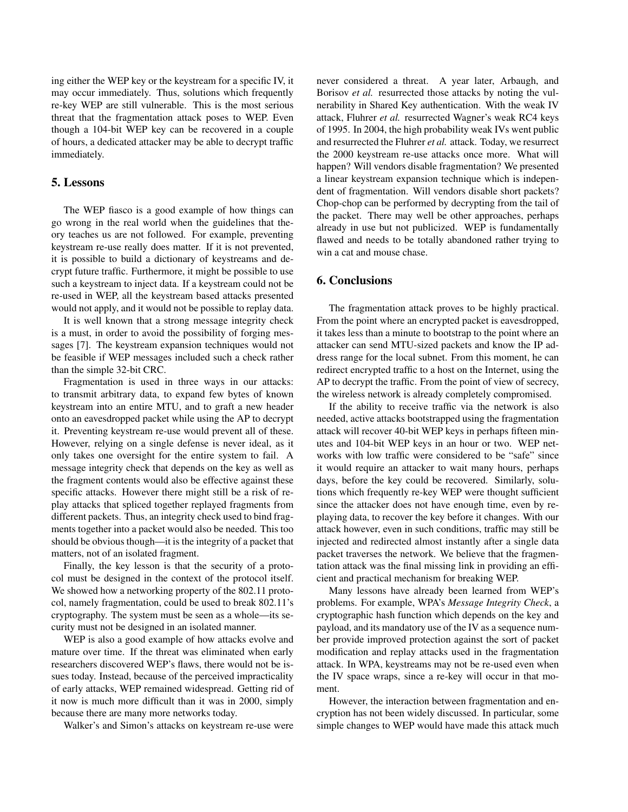ing either the WEP key or the keystream for a specific IV, it may occur immediately. Thus, solutions which frequently re-key WEP are still vulnerable. This is the most serious threat that the fragmentation attack poses to WEP. Even though a 104-bit WEP key can be recovered in a couple of hours, a dedicated attacker may be able to decrypt traffic immediately.

# 5. Lessons

The WEP fiasco is a good example of how things can go wrong in the real world when the guidelines that theory teaches us are not followed. For example, preventing keystream re-use really does matter. If it is not prevented, it is possible to build a dictionary of keystreams and decrypt future traffic. Furthermore, it might be possible to use such a keystream to inject data. If a keystream could not be re-used in WEP, all the keystream based attacks presented would not apply, and it would not be possible to replay data.

It is well known that a strong message integrity check is a must, in order to avoid the possibility of forging messages [7]. The keystream expansion techniques would not be feasible if WEP messages included such a check rather than the simple 32-bit CRC.

Fragmentation is used in three ways in our attacks: to transmit arbitrary data, to expand few bytes of known keystream into an entire MTU, and to graft a new header onto an eavesdropped packet while using the AP to decrypt it. Preventing keystream re-use would prevent all of these. However, relying on a single defense is never ideal, as it only takes one oversight for the entire system to fail. A message integrity check that depends on the key as well as the fragment contents would also be effective against these specific attacks. However there might still be a risk of replay attacks that spliced together replayed fragments from different packets. Thus, an integrity check used to bind fragments together into a packet would also be needed. This too should be obvious though—it is the integrity of a packet that matters, not of an isolated fragment.

Finally, the key lesson is that the security of a protocol must be designed in the context of the protocol itself. We showed how a networking property of the 802.11 protocol, namely fragmentation, could be used to break 802.11's cryptography. The system must be seen as a whole—its security must not be designed in an isolated manner.

WEP is also a good example of how attacks evolve and mature over time. If the threat was eliminated when early researchers discovered WEP's flaws, there would not be issues today. Instead, because of the perceived impracticality of early attacks, WEP remained widespread. Getting rid of it now is much more difficult than it was in 2000, simply because there are many more networks today.

Walker's and Simon's attacks on keystream re-use were

never considered a threat. A year later, Arbaugh, and Borisov *et al.* resurrected those attacks by noting the vulnerability in Shared Key authentication. With the weak IV attack, Fluhrer *et al.* resurrected Wagner's weak RC4 keys of 1995. In 2004, the high probability weak IVs went public and resurrected the Fluhrer *et al.* attack. Today, we resurrect the 2000 keystream re-use attacks once more. What will happen? Will vendors disable fragmentation? We presented a linear keystream expansion technique which is independent of fragmentation. Will vendors disable short packets? Chop-chop can be performed by decrypting from the tail of the packet. There may well be other approaches, perhaps already in use but not publicized. WEP is fundamentally flawed and needs to be totally abandoned rather trying to win a cat and mouse chase.

# 6. Conclusions

The fragmentation attack proves to be highly practical. From the point where an encrypted packet is eavesdropped, it takes less than a minute to bootstrap to the point where an attacker can send MTU-sized packets and know the IP address range for the local subnet. From this moment, he can redirect encrypted traffic to a host on the Internet, using the AP to decrypt the traffic. From the point of view of secrecy, the wireless network is already completely compromised.

If the ability to receive traffic via the network is also needed, active attacks bootstrapped using the fragmentation attack will recover 40-bit WEP keys in perhaps fifteen minutes and 104-bit WEP keys in an hour or two. WEP networks with low traffic were considered to be "safe" since it would require an attacker to wait many hours, perhaps days, before the key could be recovered. Similarly, solutions which frequently re-key WEP were thought sufficient since the attacker does not have enough time, even by replaying data, to recover the key before it changes. With our attack however, even in such conditions, traffic may still be injected and redirected almost instantly after a single data packet traverses the network. We believe that the fragmentation attack was the final missing link in providing an efficient and practical mechanism for breaking WEP.

Many lessons have already been learned from WEP's problems. For example, WPA's *Message Integrity Check*, a cryptographic hash function which depends on the key and payload, and its mandatory use of the IV as a sequence number provide improved protection against the sort of packet modification and replay attacks used in the fragmentation attack. In WPA, keystreams may not be re-used even when the IV space wraps, since a re-key will occur in that moment.

However, the interaction between fragmentation and encryption has not been widely discussed. In particular, some simple changes to WEP would have made this attack much